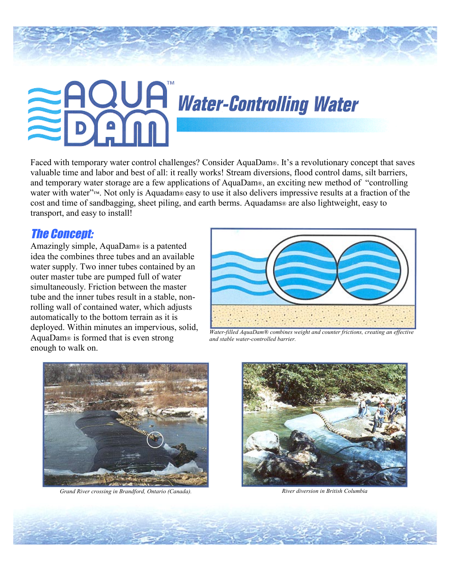# **EAQUA** Water-Controlling Water

Faced with temporary water control challenges? Consider AquaDam®. It's a revolutionary concept that saves valuable time and labor and best of all: it really works! Stream diversions, flood control dams, silt barriers, and temporary water storage are a few applications of AquaDam®, an exciting new method of "controlling" water with water<sup>"*r*M</sup>. Not only is Aquadam® easy to use it also delivers impressive results at a fraction of the cost and time of sandbagging, sheet piling, and earth berms. Aquadams® are also lightweight, easy to transport, and easy to install!

### The Concept:

Amazingly simple, AquaDam® is a patented idea the combines three tubes and an available water supply. Two inner tubes contained by an outer master tube are pumped full of water simultaneously. Friction between the master tube and the inner tubes result in a stable, nonrolling wall of contained water, which adjusts automatically to the bottom terrain as it is deployed. Within minutes an impervious, solid, AquaDam $\omega$  is formed that is even strong enough to walk on.



*Water-filled AquaDamÆ combines weight and counter frictions, creating an effective and stable water-controlled barrier.* 



*Grand River crossing in Brandford, Ontario (Canada). River diversion in British Columbia*